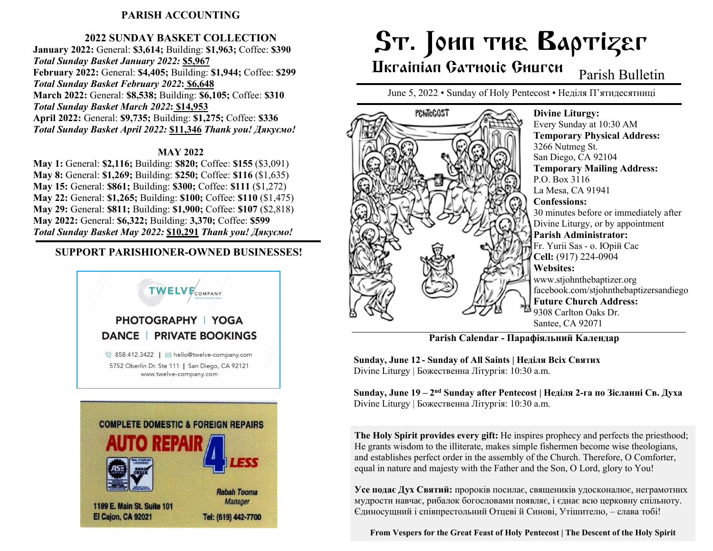## PARISH ACCOUNTING

### 2022 SUNDAY BASKET COLLECTION

January 2022: General: \$3,614; Building: \$1,963; Coffee: \$390 Total Sunday Basket January 2022: \$5,967 February 2022: General: \$4,405; Building: \$1,944; Coffee: \$299 Total Sunday Basket February 2022: \$6,648 March 2022: General: \$8,538; Building: \$6,105; Coffee: \$310 Total Sunday Basket March 2022: \$14,953 April 2022: General: \$9,735; Building: \$1,275; Coffee: \$336 Total Sunday Basket April 2022: \$11,346 Thank you! Дякуємо!

#### MAY 2022

May 1: General: \$2,116; Building: \$820; Coffee: \$155 (\$3,091) May 8: General: \$1,269; Building: \$250; Coffee: \$116 (\$1,635) May 15: General: \$861; Building: \$300; Coffee: \$111 (\$1,272) May 22: General: \$1,265; Building: \$100; Coffee: \$110 (\$1,475) May 29: General: \$811; Building: \$1,900; Coffee: \$107 (\$2,818) May 2022: General: \$6,322; Building: 3,370; Coffee: \$599 Total Sunday Basket May 2022: \$10,291 Thank you! Дякуємо!

## SUPPORT PARISHIONER-OWNED BUSINESSES!



# ST. JOHN THE BAPTIZET

# Ukrainian Gatholic Ghurch

Parish Bulletin

June 5, 2022 • Sunday of Holy Pentecost • Неділя П'ятидесятниці



Parish Calendar - Парафіяльний Kалендар

Sunday, June 12 - Sunday of All Saints | Неділя Всіх Святих Divine Liturgy | Божественна Літургія: 10:30 a.m.

Sunday, June 19 – 2<sup>nd</sup> Sunday after Pentecost | Неділя 2-га по Зісланні Св. Духа Divine Liturgy | Божественна Літургія: 10:30 a.m.

The Holy Spirit provides every gift: He inspires prophecy and perfects the priesthood; He grants wisdom to the illiterate, makes simple fishermen become wise theologians, and establishes perfect order in the assembly of the Church. Therefore, O Comforter, equal in nature and majesty with the Father and the Son, O Lord, glory to You!

Усе подає Дух Святий: пророків посилає, священиків удосконалює, неграмотних мудрости навчає, рибалок богословами появляє, і єднає всю церковну спільноту. Єдиносущний і співпрестольний Отцеві й Синові, Утішителю, – слава тобі!

From Vespers for the Great Feast of Holy Pentecost | The Descent of the Holy Spirit